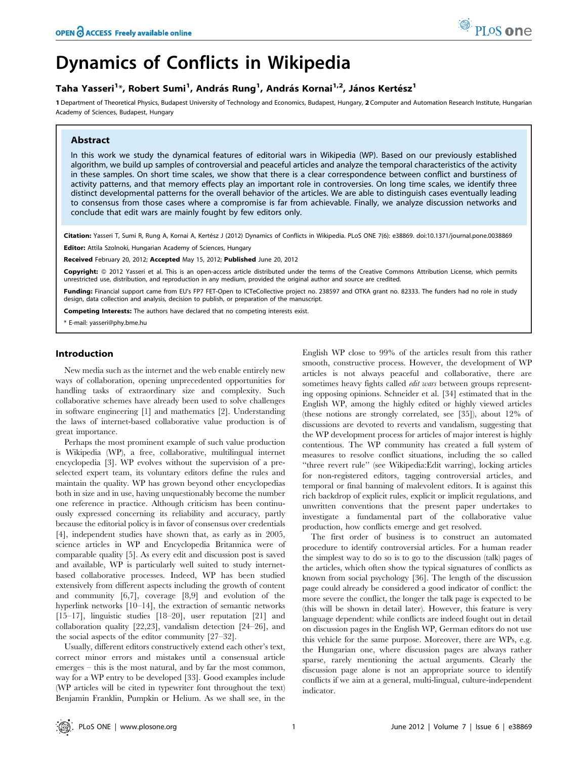

# Dynamics of Conflicts in Wikipedia

# Taha Yasseri<sup>1</sup>\*, Robert Sumi<sup>1</sup>, András Rung<sup>1</sup>, András Kornai<sup>1,2</sup>, János Kertész<sup>1</sup>

1 Department of Theoretical Physics, Budapest University of Technology and Economics, Budapest, Hungary, 2 Computer and Automation Research Institute, Hungarian Academy of Sciences, Budapest, Hungary

# Abstract

In this work we study the dynamical features of editorial wars in Wikipedia (WP). Based on our previously established algorithm, we build up samples of controversial and peaceful articles and analyze the temporal characteristics of the activity in these samples. On short time scales, we show that there is a clear correspondence between conflict and burstiness of activity patterns, and that memory effects play an important role in controversies. On long time scales, we identify three distinct developmental patterns for the overall behavior of the articles. We are able to distinguish cases eventually leading to consensus from those cases where a compromise is far from achievable. Finally, we analyze discussion networks and conclude that edit wars are mainly fought by few editors only.

Citation: Yasseri T, Sumi R, Rung A, Kornai A, Kertész J (2012) Dynamics of Conflicts in Wikipedia. PLoS ONE 7(6): e38869. doi:10.1371/journal.pone.0038869

Editor: Attila Szolnoki, Hungarian Academy of Sciences, Hungary

Received February 20, 2012; Accepted May 15, 2012; Published June 20, 2012

Copyright: © 2012 Yasseri et al. This is an open-access article distributed under the terms of the Creative Commons Attribution License, which permits unrestricted use, distribution, and reproduction in any medium, provided the original author and source are credited.

Funding: Financial support came from EU's FP7 FET-Open to ICTeCollective project no. 238597 and OTKA grant no. 82333. The funders had no role in study design, data collection and analysis, decision to publish, or preparation of the manuscript.

Competing Interests: The authors have declared that no competing interests exist.

\* E-mail: yasseri@phy.bme.hu

### Introduction

New media such as the internet and the web enable entirely new ways of collaboration, opening unprecedented opportunities for handling tasks of extraordinary size and complexity. Such collaborative schemes have already been used to solve challenges in software engineering [1] and mathematics [2]. Understanding the laws of internet-based collaborative value production is of great importance.

Perhaps the most prominent example of such value production is Wikipedia (WP), a free, collaborative, multilingual internet encyclopedia [3]. WP evolves without the supervision of a preselected expert team, its voluntary editors define the rules and maintain the quality. WP has grown beyond other encyclopedias both in size and in use, having unquestionably become the number one reference in practice. Although criticism has been continuously expressed concerning its reliability and accuracy, partly because the editorial policy is in favor of consensus over credentials [4], independent studies have shown that, as early as in 2005, science articles in WP and Encyclopedia Britannica were of comparable quality [5]. As every edit and discussion post is saved and available, WP is particularly well suited to study internetbased collaborative processes. Indeed, WP has been studied extensively from different aspects including the growth of content and community [6,7], coverage [8,9] and evolution of the hyperlink networks [10–14], the extraction of semantic networks [15–17], linguistic studies [18–20], user reputation [21] and collaboration quality [22,23], vandalism detection [24–26], and the social aspects of the editor community [27–32].

Usually, different editors constructively extend each other's text, correct minor errors and mistakes until a consensual article emerges – this is the most natural, and by far the most common, way for a WP entry to be developed [33]. Good examples include (WP articles will be cited in typewriter font throughout the text) Benjamin Franklin, Pumpkin or Helium. As we shall see, in the

English WP close to 99% of the articles result from this rather smooth, constructive process. However, the development of WP articles is not always peaceful and collaborative, there are sometimes heavy fights called *edit wars* between groups representing opposing opinions. Schneider et al. [34] estimated that in the English WP, among the highly edited or highly viewed articles (these notions are strongly correlated, see [35]), about 12% of discussions are devoted to reverts and vandalism, suggesting that the WP development process for articles of major interest is highly contentious. The WP community has created a full system of measures to resolve conflict situations, including the so called ''three revert rule'' (see Wikipedia:Edit warring), locking articles for non-registered editors, tagging controversial articles, and temporal or final banning of malevolent editors. It is against this rich backdrop of explicit rules, explicit or implicit regulations, and unwritten conventions that the present paper undertakes to investigate a fundamental part of the collaborative value production, how conflicts emerge and get resolved.

The first order of business is to construct an automated procedure to identify controversial articles. For a human reader the simplest way to do so is to go to the discussion (talk) pages of the articles, which often show the typical signatures of conflicts as known from social psychology [36]. The length of the discussion page could already be considered a good indicator of conflict: the more severe the conflict, the longer the talk page is expected to be (this will be shown in detail later). However, this feature is very language dependent: while conflicts are indeed fought out in detail on discussion pages in the English WP, German editors do not use this vehicle for the same purpose. Moreover, there are WPs, e.g. the Hungarian one, where discussion pages are always rather sparse, rarely mentioning the actual arguments. Clearly the discussion page alone is not an appropriate source to identify conflicts if we aim at a general, multi-lingual, culture-independent indicator.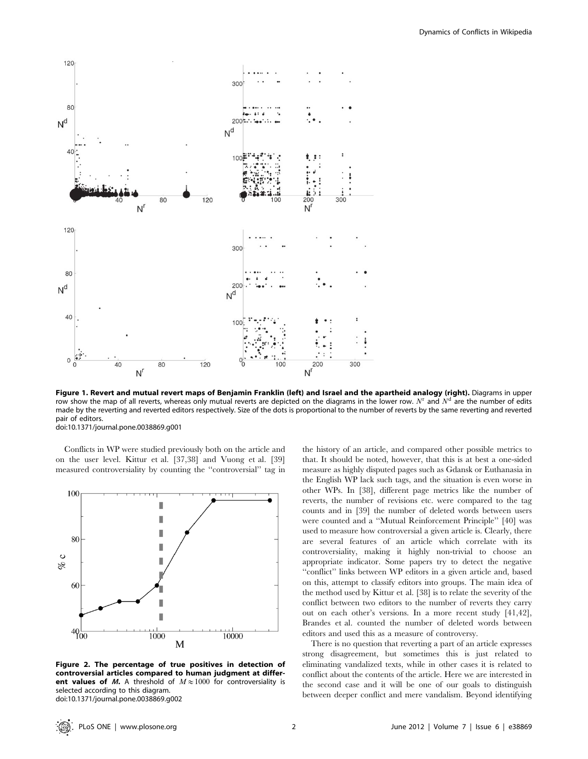

Figure 1. Revert and mutual revert maps of Benjamin Franklin (left) and Israel and the apartheid analogy (right). Diagrams in upper row show the map of all reverts, whereas only mutual reverts are depicted on the diagrams in the lower row. N<sup>T</sup> and N<sup>d</sup> are the number of edits made by the reverting and reverted editors respectively. Size of the dots is proportional to the number of reverts by the same reverting and reverted pair of editors.

doi:10.1371/journal.pone.0038869.g001

Conflicts in WP were studied previously both on the article and on the user level. Kittur et al. [37,38] and Vuong et al. [39] measured controversiality by counting the ''controversial'' tag in



Figure 2. The percentage of true positives in detection of controversial articles compared to human judgment at different values of *M*. A threshold of  $M \approx 1000$  for controversiality is selected according to this diagram. doi:10.1371/journal.pone.0038869.g002

the history of an article, and compared other possible metrics to that. It should be noted, however, that this is at best a one-sided measure as highly disputed pages such as Gdansk or Euthanasia in the English WP lack such tags, and the situation is even worse in other WPs. In [38], different page metrics like the number of reverts, the number of revisions etc. were compared to the tag counts and in [39] the number of deleted words between users were counted and a ''Mutual Reinforcement Principle'' [40] was used to measure how controversial a given article is. Clearly, there are several features of an article which correlate with its controversiality, making it highly non-trivial to choose an appropriate indicator. Some papers try to detect the negative ''conflict'' links between WP editors in a given article and, based on this, attempt to classify editors into groups. The main idea of the method used by Kittur et al. [38] is to relate the severity of the conflict between two editors to the number of reverts they carry out on each other's versions. In a more recent study [41,42], Brandes et al. counted the number of deleted words between editors and used this as a measure of controversy.

There is no question that reverting a part of an article expresses strong disagreement, but sometimes this is just related to eliminating vandalized texts, while in other cases it is related to conflict about the contents of the article. Here we are interested in the second case and it will be one of our goals to distinguish between deeper conflict and mere vandalism. Beyond identifying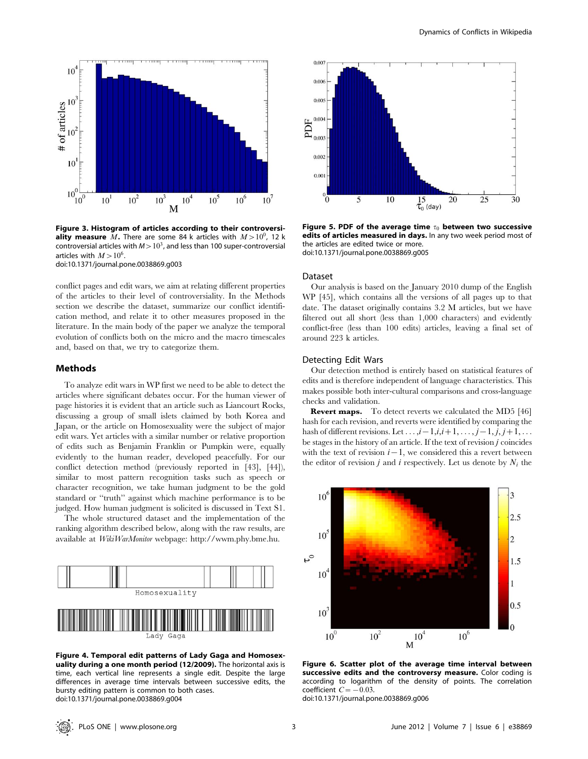

Figure 3. Histogram of articles according to their controversi**ality measure** M. There are some 84 k articles with  $M>10^0$ , 12 k controversial articles with  $M>10^3$ , and less than 100 super-controversial articles with  $M > 10^6$ .

doi:10.1371/journal.pone.0038869.g003

conflict pages and edit wars, we aim at relating different properties of the articles to their level of controversiality. In the Methods section we describe the dataset, summarize our conflict identification method, and relate it to other measures proposed in the literature. In the main body of the paper we analyze the temporal evolution of conflicts both on the micro and the macro timescales and, based on that, we try to categorize them.

#### Methods

To analyze edit wars in WP first we need to be able to detect the articles where significant debates occur. For the human viewer of page histories it is evident that an article such as Liancourt Rocks, discussing a group of small islets claimed by both Korea and Japan, or the article on Homosexuality were the subject of major edit wars. Yet articles with a similar number or relative proportion of edits such as Benjamin Franklin or Pumpkin were, equally evidently to the human reader, developed peacefully. For our conflict detection method (previously reported in [43], [44]), similar to most pattern recognition tasks such as speech or character recognition, we take human judgment to be the gold standard or ''truth'' against which machine performance is to be judged. How human judgment is solicited is discussed in Text S1.

The whole structured dataset and the implementation of the ranking algorithm described below, along with the raw results, are available at WikiWarMonitor webpage: http://wwm.phy.bme.hu.



Figure 4. Temporal edit patterns of Lady Gaga and Homosexuality during a one month period (12/2009). The horizontal axis is time, each vertical line represents a single edit. Despite the large differences in average time intervals between successive edits, the bursty editing pattern is common to both cases. doi:10.1371/journal.pone.0038869.g004



Figure 5. PDF of the average time  $\tau_0$  between two successive edits of articles measured in days. In any two week period most of the articles are edited twice or more. doi:10.1371/journal.pone.0038869.g005

#### Dataset

Our analysis is based on the January 2010 dump of the English WP [45], which contains all the versions of all pages up to that date. The dataset originally contains 3.2 M articles, but we have filtered out all short (less than 1,000 characters) and evidently conflict-free (less than 100 edits) articles, leaving a final set of around 223 k articles.

# Detecting Edit Wars

Our detection method is entirely based on statistical features of edits and is therefore independent of language characteristics. This makes possible both inter-cultural comparisons and cross-language checks and validation.

Revert maps. To detect reverts we calculated the MD5 [46] hash for each revision, and reverts were identified by comparing the hash of different revisions. Let  $\dots, i-1, i, i+1, \dots, j-1, j, j+1, \dots$ be stages in the history of an article. If the text of revision j coincides with the text of revision  $i-1$ , we considered this a revert between the editor of revision *j* and *i* respectively. Let us denote by  $N_i$  the



Figure 6. Scatter plot of the average time interval between successive edits and the controversy measure. Color coding is according to logarithm of the density of points. The correlation coefficient  $C=-0.03$ .

doi:10.1371/journal.pone.0038869.g006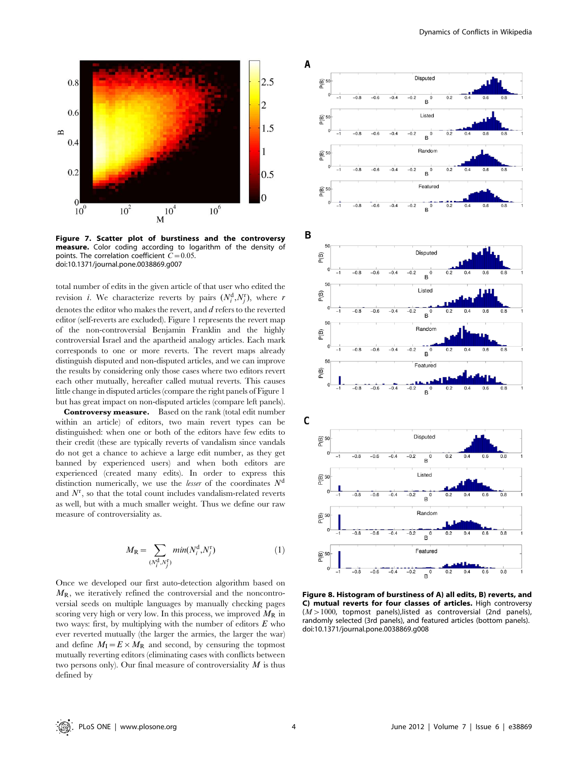

Figure 7. Scatter plot of burstiness and the controversy measure. Color coding according to logarithm of the density of points. The correlation coefficient  $C=0.05$ . doi:10.1371/journal.pone.0038869.g007

total number of edits in the given article of that user who edited the revision *i*. We characterize reverts by pairs  $(N_i^d, N_j^r)$ , where *r* denotes the editor who makes the revert, and d refers to the reverted editor (self-reverts are excluded). Figure 1 represents the revert map of the non-controversial Benjamin Franklin and the highly controversial Israel and the apartheid analogy articles. Each mark corresponds to one or more reverts. The revert maps already distinguish disputed and non-disputed articles, and we can improve the results by considering only those cases where two editors revert each other mutually, hereafter called mutual reverts. This causes little change in disputed articles (compare the right panels of Figure 1 but has great impact on non-disputed articles (compare left panels).

Controversy measure. Based on the rank (total edit number within an article) of editors, two main revert types can be distinguished: when one or both of the editors have few edits to their credit (these are typically reverts of vandalism since vandals do not get a chance to achieve a large edit number, as they get banned by experienced users) and when both editors are experienced (created many edits). In order to express this distinction numerically, we use the *lesser* of the coordinates  $N<sup>d</sup>$ and  $N^{\rm r}$ , so that the total count includes vandalism-related reverts as well, but with a much smaller weight. Thus we define our raw measure of controversiality as.

$$
M_{\mathcal{R}} = \sum_{(N_i^{\mathcal{d}}, N_j^{\mathcal{F}})} min(N_i^{\mathcal{d}}, N_j^{\mathcal{F}})
$$
 (1)

Once we developed our first auto-detection algorithm based on  $M_{\rm R}$ , we iteratively refined the controversial and the noncontroversial seeds on multiple languages by manually checking pages scoring very high or very low. In this process, we improved  $M_R$  in two ways: first, by multiplying with the number of editors  $E$  who ever reverted mutually (the larger the armies, the larger the war) and define  $M_I = E \times M_R$  and second, by censuring the topmost mutually reverting editors (eliminating cases with conflicts between two persons only). Our final measure of controversiality  $M$  is thus defined by



Figure 8. Histogram of burstiness of A) all edits, B) reverts, and C) mutual reverts for four classes of articles. High controversy  $(M>1000$ , topmost panels), listed as controversial (2nd panels), randomly selected (3rd panels), and featured articles (bottom panels). doi:10.1371/journal.pone.0038869.g008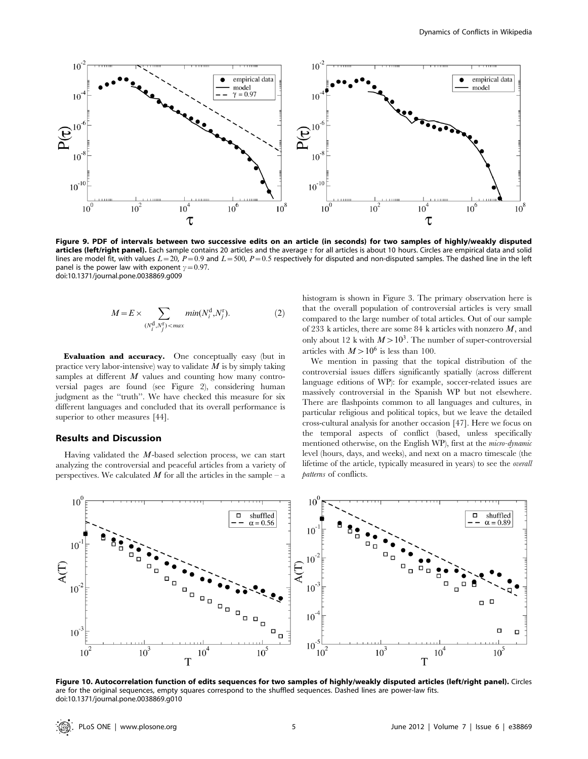

Figure 9. PDF of intervals between two successive edits on an article (in seconds) for two samples of highly/weakly disputed articles (left/right panel). Each sample contains 20 articles and the average t for all articles is about 10 hours. Circles are empirical data and solid lines are model fit, with values  $L=20$ ,  $P=0.9$  and  $L=500$ ,  $P=0.5$  respectively for disputed and non-disputed samples. The dashed line in the left panel is the power law with exponent  $\gamma$  = 0.97. doi:10.1371/journal.pone.0038869.g009

$$
M = E \times \sum_{(N_i^{\text{d}}, N_j^{\text{r}}) < \max} \min(N_i^{\text{d}}, N_j^{\text{r}}). \tag{2}
$$

Evaluation and accuracy. One conceptually easy (but in practice very labor-intensive) way to validate  $M$  is by simply taking samples at different  $M$  values and counting how many controversial pages are found (see Figure 2), considering human judgment as the "truth". We have checked this measure for six different languages and concluded that its overall performance is superior to other measures [44].

# Results and Discussion

Having validated the  $M$ -based selection process, we can start analyzing the controversial and peaceful articles from a variety of perspectives. We calculated  $M$  for all the articles in the sample – a

histogram is shown in Figure 3. The primary observation here is that the overall population of controversial articles is very small compared to the large number of total articles. Out of our sample of 233 k articles, there are some 84 k articles with nonzero  $M$ , and only about 12 k with  $M > 10^3$ . The number of super-controversial articles with  $M > 10^6$  is less than 100.

We mention in passing that the topical distribution of the controversial issues differs significantly spatially (across different language editions of WP): for example, soccer-related issues are massively controversial in the Spanish WP but not elsewhere. There are flashpoints common to all languages and cultures, in particular religious and political topics, but we leave the detailed cross-cultural analysis for another occasion [47]. Here we focus on the temporal aspects of conflict (based, unless specifically mentioned otherwise, on the English WP), first at the micro-dynamic level (hours, days, and weeks), and next on a macro timescale (the lifetime of the article, typically measured in years) to see the overall patterns of conflicts.



Figure 10. Autocorrelation function of edits sequences for two samples of highly/weakly disputed articles (left/right panel). Circles are for the original sequences, empty squares correspond to the shuffled sequences. Dashed lines are power-law fits. doi:10.1371/journal.pone.0038869.g010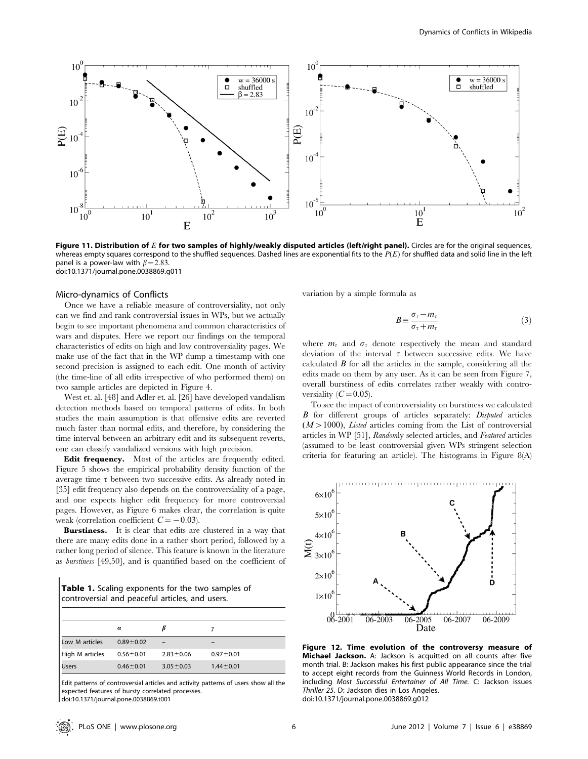

Figure 11. Distribution of  $E$  for two samples of highly/weakly disputed articles (left/right panel). Circles are for the original sequences, whereas empty squares correspond to the shuffled sequences. Dashed lines are exponential fits to the  $P(E)$  for shuffled data and solid line in the left panel is a power-law with  $\beta$  = 2.83. doi:10.1371/journal.pone.0038869.g011

#### Micro-dynamics of Conflicts

Once we have a reliable measure of controversiality, not only can we find and rank controversial issues in WPs, but we actually begin to see important phenomena and common characteristics of wars and disputes. Here we report our findings on the temporal characteristics of edits on high and low controversiality pages. We make use of the fact that in the WP dump a timestamp with one second precision is assigned to each edit. One month of activity (the time-line of all edits irrespective of who performed them) on two sample articles are depicted in Figure 4.

West et. al. [48] and Adler et. al. [26] have developed vandalism detection methods based on temporal patterns of edits. In both studies the main assumption is that offensive edits are reverted much faster than normal edits, and therefore, by considering the time interval between an arbitrary edit and its subsequent reverts, one can classify vandalized versions with high precision.

Edit frequency. Most of the articles are frequently edited. Figure 5 shows the empirical probability density function of the average time  $\tau$  between two successive edits. As already noted in [35] edit frequency also depends on the controversiality of a page, and one expects higher edit frequency for more controversial pages. However, as Figure 6 makes clear, the correlation is quite weak (correlation coefficient  $C=-0.03$ ).

Burstiness. It is clear that edits are clustered in a way that there are many edits done in a rather short period, followed by a rather long period of silence. This feature is known in the literature as burstiness [49,50], and is quantified based on the coefficient of

Table 1. Scaling exponents for the two samples of controversial and peaceful articles, and users.

|                 | $\alpha$        |                 |                 |  |
|-----------------|-----------------|-----------------|-----------------|--|
| Low M articles  | $0.89 + 0.02$   |                 |                 |  |
| High M articles | $0.56 + 0.01$   | $2.83 \pm 0.06$ | $0.97 \pm 0.01$ |  |
| l Users         | $0.46 \pm 0.01$ | $3.05 \pm 0.03$ | $1.44 \pm 0.01$ |  |
|                 |                 |                 |                 |  |

Edit patterns of controversial articles and activity patterns of users show all the expected features of bursty correlated processes.

doi:10.1371/journal.pone.0038869.t001

variation by a simple formula as

$$
B \equiv \frac{\sigma_{\tau} - m_{\tau}}{\sigma_{\tau} + m_{\tau}} \tag{3}
$$

where  $m<sub>\tau</sub>$  and  $\sigma<sub>\tau</sub>$  denote respectively the mean and standard deviation of the interval  $\tau$  between successive edits. We have calculated  $\bm{B}$  for all the articles in the sample, considering all the edits made on them by any user. As it can be seen from Figure 7, overall burstiness of edits correlates rather weakly with controversiality  $(C=0.05)$ .

To see the impact of controversiality on burstiness we calculated B for different groups of articles separately: Disputed articles  $(M>1000)$ , *Listed* articles coming from the List of controversial articles in WP [51], Randomly selected articles, and Featured articles (assumed to be least controversial given WPs stringent selection criteria for featuring an article). The histograms in Figure 8(A)

 $6\times10$  $5\times10$  $4\times10$  $\sum_{3\times10}^{100}$  $2\times10$  $1\times10$ <sup>'</sup>  $06 - 2001$  $-2005$ 06-2007  $06 - 2003$ 06-2009 06 Date

Figure 12. Time evolution of the controversy measure of **Michael Jackson.** A: Jackson is acquitted on all counts after five month trial. B: Jackson makes his first public appearance since the trial to accept eight records from the Guinness World Records in London, including Most Successful Entertainer of All Time. C: Jackson issues Thriller 25. D: Jackson dies in Los Angeles. doi:10.1371/journal.pone.0038869.g012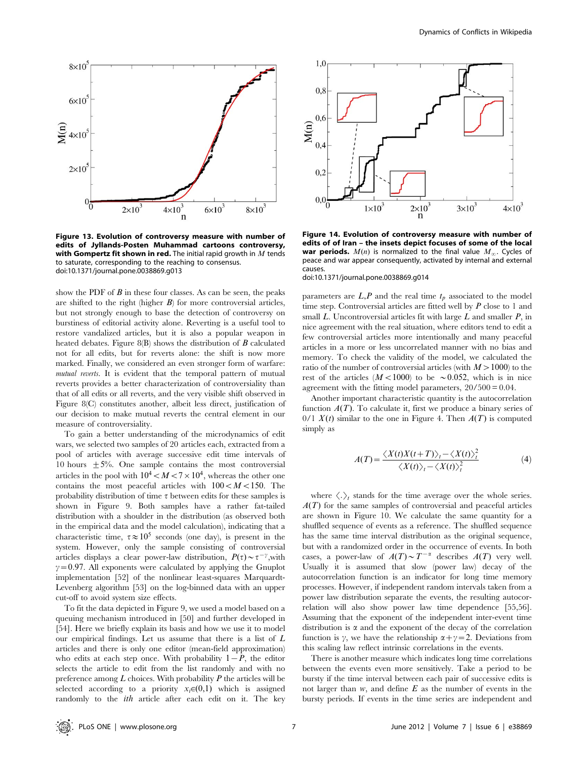

Figure 13. Evolution of controversy measure with number of edits of Jyllands-Posten Muhammad cartoons controversy, with Gompertz fit shown in red. The initial rapid growth in  $M$  tends to saturate, corresponding to the reaching to consensus. doi:10.1371/journal.pone.0038869.g013

show the PDF of  $B$  in these four classes. As can be seen, the peaks are shifted to the right (higher  $B$ ) for more controversial articles, but not strongly enough to base the detection of controversy on burstiness of editorial activity alone. Reverting is a useful tool to restore vandalized articles, but it is also a popular weapon in heated debates. Figure 8(B) shows the distribution of  $\vec{B}$  calculated not for all edits, but for reverts alone: the shift is now more marked. Finally, we considered an even stronger form of warfare: mutual reverts. It is evident that the temporal pattern of mutual reverts provides a better characterization of controversiality than that of all edits or all reverts, and the very visible shift observed in Figure 8(C) constitutes another, albeit less direct, justification of our decision to make mutual reverts the central element in our measure of controversiality.

To gain a better understanding of the microdynamics of edit wars, we selected two samples of 20 articles each, extracted from a pool of articles with average successive edit time intervals of 10 hours  $\pm$  5%. One sample contains the most controversial articles in the pool with  $10^4 < M < 7 \times 10^4$ , whereas the other one contains the most peaceful articles with  $100 < M < 150$ . The probability distribution of time  $\tau$  between edits for these samples is shown in Figure 9. Both samples have a rather fat-tailed distribution with a shoulder in the distribution (as observed both in the empirical data and the model calculation), indicating that a characteristic time,  $\tau \approx 10^5$  seconds (one day), is present in the system. However, only the sample consisting of controversial articles displays a clear power-law distribution,  $P(\tau) \sim \tau^{-\gamma}$ , with  $\gamma=0.97$ . All exponents were calculated by applying the Gnuplot implementation [52] of the nonlinear least-squares Marquardt-Levenberg algorithm [53] on the log-binned data with an upper cut-off to avoid system size effects.

To fit the data depicted in Figure 9, we used a model based on a queuing mechanism introduced in [50] and further developed in [54]. Here we briefly explain its basis and how we use it to model our empirical findings. Let us assume that there is a list of L articles and there is only one editor (mean-field approximation) who edits at each step once. With probability  $1-P$ , the editor selects the article to edit from the list randomly and with no preference among  $L$  choices. With probability  $P$  the articles will be selected according to a priority  $x_i \in (0,1)$  which is assigned randomly to the *ith* article after each edit on it. The key



Figure 14. Evolution of controversy measure with number of edits of of Iran – the insets depict focuses of some of the local war periods.  $M(n)$  is normalized to the final value  $M_{\infty}$ . Cycles of peace and war appear consequently, activated by internal and external causes.

doi:10.1371/journal.pone.0038869.g014

parameters are  $L, P$  and the real time  $t_p$  associated to the model time step. Controversial articles are fitted well by  $P$  close to 1 and small  $L$ . Uncontroversial articles fit with large  $L$  and smaller  $P$ , in nice agreement with the real situation, where editors tend to edit a few controversial articles more intentionally and many peaceful articles in a more or less uncorrelated manner with no bias and memory. To check the validity of the model, we calculated the ratio of the number of controversial articles (with  $M > 1000$ ) to the rest of the articles  $(M<1000)$  to be  $\sim 0.052$ , which is in nice agreement with the fitting model parameters, 20/500 = 0.04.

Another important characteristic quantity is the autocorrelation function  $A(T)$ . To calculate it, first we produce a binary series of 0/1  $X(t)$  similar to the one in Figure 4. Then  $A(T)$  is computed simply as

$$
A(T) = \frac{\langle X(t)X(t+T)\rangle_t - \langle X(t)\rangle_t^2}{\langle X(t)\rangle_t - \langle X(t)\rangle_t^2}
$$
(4)

where  $\langle . \rangle_t$  stands for the time average over the whole series.  $A(T)$  for the same samples of controversial and peaceful articles are shown in Figure 10. We calculate the same quantity for a shuffled sequence of events as a reference. The shuffled sequence has the same time interval distribution as the original sequence, but with a randomized order in the occurrence of events. In both cases, a power-law of  $A(T) \sim T^{-\alpha}$  describes  $A(T)$  very well. Usually it is assumed that slow (power law) decay of the autocorrelation function is an indicator for long time memory processes. However, if independent random intervals taken from a power law distribution separate the events, the resulting autocorrelation will also show power law time dependence [55,56]. Assuming that the exponent of the independent inter-event time distribution is  $\alpha$  and the exponent of the decay of the correlation function is  $\gamma$ , we have the relationship  $\alpha + \gamma = 2$ . Deviations from this scaling law reflect intrinsic correlations in the events.

There is another measure which indicates long time correlations between the events even more sensitively. Take a period to be bursty if the time interval between each pair of successive edits is not larger than  $w$ , and define  $E$  as the number of events in the bursty periods. If events in the time series are independent and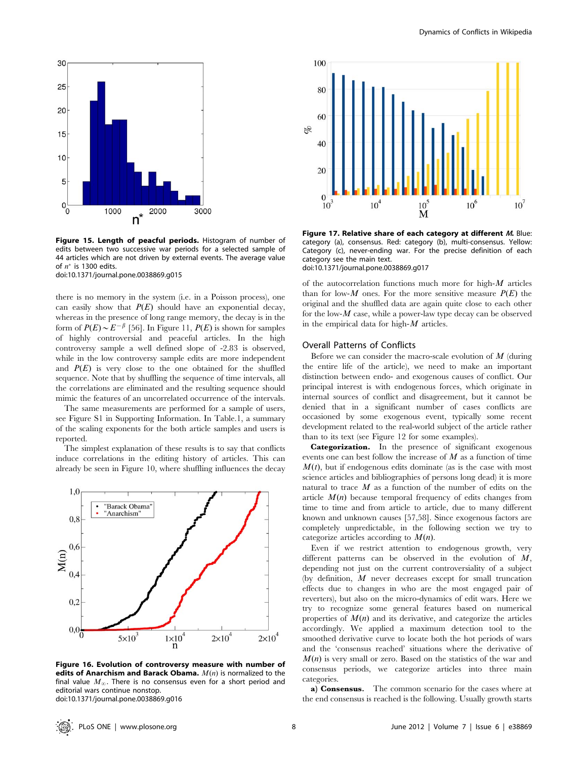

Figure 15. Length of peacful periods. Histogram of number of edits between two successive war periods for a selected sample of 44 articles which are not driven by external events. The average value of  $n^*$  is 1300 edits. doi:10.1371/journal.pone.0038869.g015

there is no memory in the system (i.e. in a Poisson process), one can easily show that  $P(E)$  should have an exponential decay, whereas in the presence of long range memory, the decay is in the form of  $P(E) \sim E^{-\beta}$  [56]. In Figure 11,  $P(E)$  is shown for samples of highly controversial and peaceful articles. In the high controversy sample a well defined slope of -2.83 is observed, while in the low controversy sample edits are more independent and  $P(E)$  is very close to the one obtained for the shuffled sequence. Note that by shuffling the sequence of time intervals, all the correlations are eliminated and the resulting sequence should mimic the features of an uncorrelated occurrence of the intervals.

The same measurements are performed for a sample of users, see Figure S1 in Supporting Information. In Table.1, a summary of the scaling exponents for the both article samples and users is reported.

The simplest explanation of these results is to say that conflicts induce correlations in the editing history of articles. This can already be seen in Figure 10, where shuffling influences the decay



Figure 16. Evolution of controversy measure with number of edits of Anarchism and Barack Obama.  $M(n)$  is normalized to the final value  $M_{\infty}$ . There is no consensus even for a short period and editorial wars continue nonstop. doi:10.1371/journal.pone.0038869.g016



Figure 17. Relative share of each category at different M. Blue: category (a), consensus. Red: category (b), multi-consensus. Yellow: Category (c), never-ending war. For the precise definition of each category see the main text. doi:10.1371/journal.pone.0038869.g017

of the autocorrelation functions much more for high- $M$  articles than for low- $M$  ones. For the more sensitive measure  $P(E)$  the original and the shuffled data are again quite close to each other for the low- $M$  case, while a power-law type decay can be observed in the empirical data for high- $M$  articles.

# Overall Patterns of Conflicts

Before we can consider the macro-scale evolution of  $M$  (during the entire life of the article), we need to make an important distinction between endo- and exogenous causes of conflict. Our principal interest is with endogenous forces, which originate in internal sources of conflict and disagreement, but it cannot be denied that in a significant number of cases conflicts are occasioned by some exogenous event, typically some recent development related to the real-world subject of the article rather than to its text (see Figure 12 for some examples).

Categorization. In the presence of significant exogenous events one can best follow the increase of  $M$  as a function of time  $M(t)$ , but if endogenous edits dominate (as is the case with most science articles and bibliographies of persons long dead) it is more natural to trace  $M$  as a function of the number of edits on the article  $M(n)$  because temporal frequency of edits changes from time to time and from article to article, due to many different known and unknown causes [57,58]. Since exogenous factors are completely unpredictable, in the following section we try to categorize articles according to  $M(n)$ .

Even if we restrict attention to endogenous growth, very different patterns can be observed in the evolution of  $M$ , depending not just on the current controversiality of a subject (by definition, M never decreases except for small truncation effects due to changes in who are the most engaged pair of reverters), but also on the micro-dynamics of edit wars. Here we try to recognize some general features based on numerical properties of  $M(n)$  and its derivative, and categorize the articles accordingly. We applied a maximum detection tool to the smoothed derivative curve to locate both the hot periods of wars and the 'consensus reached' situations where the derivative of  $M(n)$  is very small or zero. Based on the statistics of the war and consensus periods, we categorize articles into three main categories.

a) Consensus. The common scenario for the cases where at the end consensus is reached is the following. Usually growth starts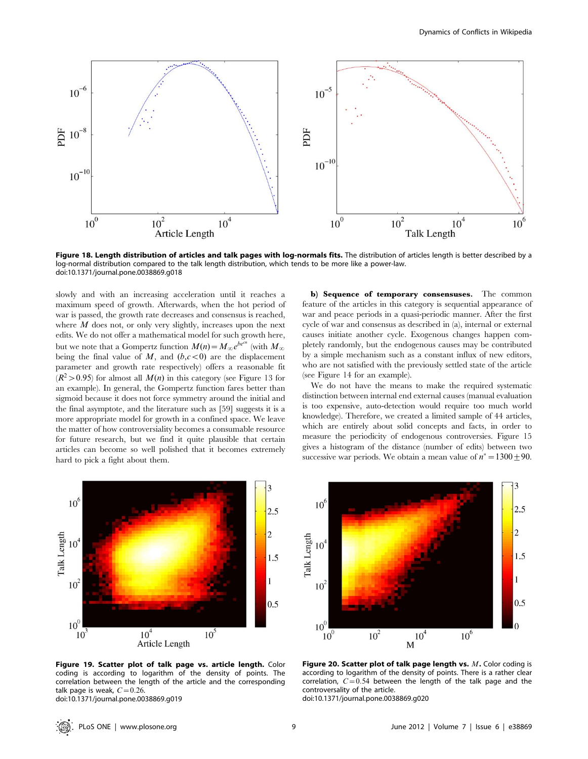

Figure 18. Length distribution of articles and talk pages with log-normals fits. The distribution of articles length is better described by a log-normal distribution compared to the talk length distribution, which tends to be more like a power-law. doi:10.1371/journal.pone.0038869.g018

slowly and with an increasing acceleration until it reaches a maximum speed of growth. Afterwards, when the hot period of war is passed, the growth rate decreases and consensus is reached, where  $M$  does not, or only very slightly, increases upon the next edits. We do not offer a mathematical model for such growth here, but we note that a Gompertz function  $M(n) = M_{\infty}e^{be^{cn}}$  (with  $M_{\infty}$ ) being the final value of  $M$ , and  $(b, c<0)$  are the displacement parameter and growth rate respectively) offers a reasonable fit  $(R^2>0.95)$  for almost all  $M(n)$  in this category (see Figure 13 for an example). In general, the Gompertz function fares better than sigmoid because it does not force symmetry around the initial and the final asymptote, and the literature such as [59] suggests it is a more appropriate model for growth in a confined space. We leave the matter of how controversiality becomes a consumable resource for future research, but we find it quite plausible that certain articles can become so well polished that it becomes extremely hard to pick a fight about them.

b) Sequence of temporary consensuses. The common feature of the articles in this category is sequential appearance of war and peace periods in a quasi-periodic manner. After the first cycle of war and consensus as described in (a), internal or external causes initiate another cycle. Exogenous changes happen completely randomly, but the endogenous causes may be contributed by a simple mechanism such as a constant influx of new editors, who are not satisfied with the previously settled state of the article (see Figure 14 for an example).

We do not have the means to make the required systematic distinction between internal end external causes (manual evaluation is too expensive, auto-detection would require too much world knowledge). Therefore, we created a limited sample of 44 articles, which are entirely about solid concepts and facts, in order to measure the periodicity of endogenous controversies. Figure 15 gives a histogram of the distance (number of edits) between two successive war periods. We obtain a mean value of  $n^* = 1300 \pm 90$ .



Figure 19. Scatter plot of talk page vs. article length. Color coding is according to logarithm of the density of points. The correlation between the length of the article and the corresponding talk page is weak,  $C=0.26$ . doi:10.1371/journal.pone.0038869.g019



Figure 20. Scatter plot of talk page length vs. M. Color coding is according to logarithm of the density of points. There is a rather clear correlation,  $C=0.54$  between the length of the talk page and the controversality of the article. doi:10.1371/journal.pone.0038869.g020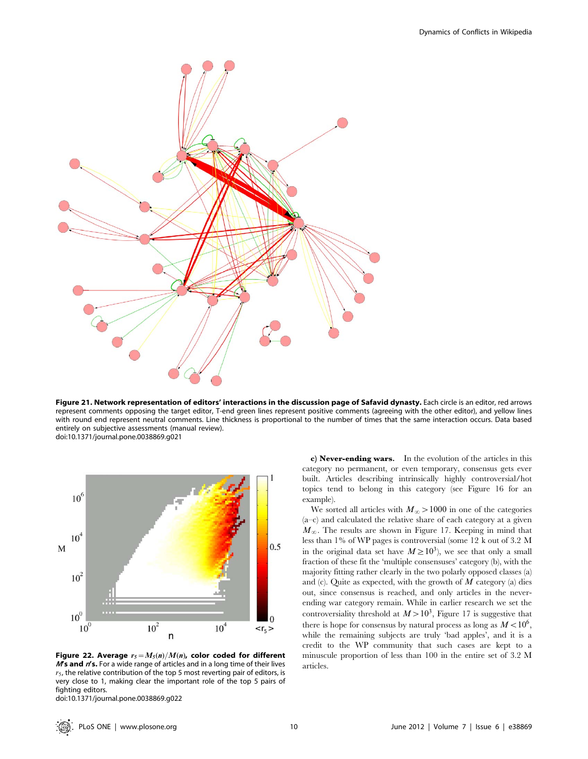

Figure 21. Network representation of editors' interactions in the discussion page of Safavid dynasty. Each circle is an editor, red arrows represent comments opposing the target editor, T-end green lines represent positive comments (agreeing with the other editor), and yellow lines with round end represent neutral comments. Line thickness is proportional to the number of times that the same interaction occurs. Data based entirely on subjective assessments (manual review). doi:10.1371/journal.pone.0038869.g021



Figure 22. Average  $r_5=M_5(n)/M(n)$ , color coded for different  $M$ 's and  $n$ 's. For a wide range of articles and in a long time of their lives  $r<sub>5</sub>$ , the relative contribution of the top 5 most reverting pair of editors, is very close to 1, making clear the important role of the top 5 pairs of fighting editors. doi:10.1371/journal.pone.0038869.g022

c) Never-ending wars. In the evolution of the articles in this category no permanent, or even temporary, consensus gets ever built. Articles describing intrinsically highly controversial/hot topics tend to belong in this category (see Figure 16 for an example).

We sorted all articles with  $M_{\infty} > 1000$  in one of the categories  $(a-c)$  and calculated the relative share of each category at a given  $M_{\infty}$ . The results are shown in Figure 17. Keeping in mind that less than 1% of WP pages is controversial (some 12 k out of 3.2 M in the original data set have  $M \ge 10^3$ ), we see that only a small fraction of these fit the 'multiple consensuses' category (b), with the majority fitting rather clearly in the two polarly opposed classes (a) and (c). Quite as expected, with the growth of  $M$  category (a) dies out, since consensus is reached, and only articles in the neverending war category remain. While in earlier research we set the controversiality threshold at  $M > 10^3$ , Figure 17 is suggestive that there is hope for consensus by natural process as long as  $M < 10^6$ , while the remaining subjects are truly 'bad apples', and it is a credit to the WP community that such cases are kept to a minuscule proportion of less than 100 in the entire set of 3.2 M articles.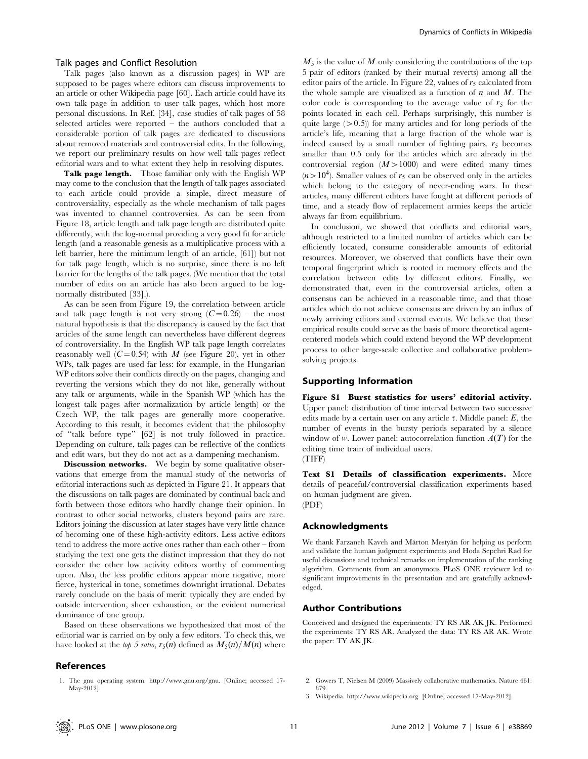#### Talk pages and Conflict Resolution

Talk pages (also known as a discussion pages) in WP are supposed to be pages where editors can discuss improvements to an article or other Wikipedia page [60]. Each article could have its own talk page in addition to user talk pages, which host more personal discussions. In Ref. [34], case studies of talk pages of 58 selected articles were reported – the authors concluded that a considerable portion of talk pages are dedicated to discussions about removed materials and controversial edits. In the following, we report our preliminary results on how well talk pages reflect editorial wars and to what extent they help in resolving disputes.

Talk page length. Those familiar only with the English WP may come to the conclusion that the length of talk pages associated to each article could provide a simple, direct measure of controversiality, especially as the whole mechanism of talk pages was invented to channel controversies. As can be seen from Figure 18, article length and talk page length are distributed quite differently, with the log-normal providing a very good fit for article length (and a reasonable genesis as a multiplicative process with a left barrier, here the minimum length of an article, [61]) but not for talk page length, which is no surprise, since there is no left barrier for the lengths of the talk pages. (We mention that the total number of edits on an article has also been argued to be lognormally distributed [33].).

As can be seen from Figure 19, the correlation between article and talk page length is not very strong  $(C=0.26)$  – the most natural hypothesis is that the discrepancy is caused by the fact that articles of the same length can nevertheless have different degrees of controversiality. In the English WP talk page length correlates reasonably well  $(C=0.54)$  with M (see Figure 20), yet in other WPs, talk pages are used far less: for example, in the Hungarian WP editors solve their conflicts directly on the pages, changing and reverting the versions which they do not like, generally without any talk or arguments, while in the Spanish WP (which has the longest talk pages after normalization by article length) or the Czech WP, the talk pages are generally more cooperative. According to this result, it becomes evident that the philosophy of ''talk before type'' [62] is not truly followed in practice. Depending on culture, talk pages can be reflective of the conflicts and edit wars, but they do not act as a dampening mechanism.

Discussion networks. We begin by some qualitative observations that emerge from the manual study of the networks of editorial interactions such as depicted in Figure 21. It appears that the discussions on talk pages are dominated by continual back and forth between those editors who hardly change their opinion. In contrast to other social networks, clusters beyond pairs are rare. Editors joining the discussion at later stages have very little chance of becoming one of these high-activity editors. Less active editors tend to address the more active ones rather than each other – from studying the text one gets the distinct impression that they do not consider the other low activity editors worthy of commenting upon. Also, the less prolific editors appear more negative, more fierce, hysterical in tone, sometimes downright irrational. Debates rarely conclude on the basis of merit: typically they are ended by outside intervention, sheer exhaustion, or the evident numerical dominance of one group.

Based on these observations we hypothesized that most of the editorial war is carried on by only a few editors. To check this, we have looked at the top 5 ratio,  $r_5(n)$  defined as  $M_5(n)/M(n)$  where

#### References

 $M_5$  is the value of M only considering the contributions of the top 5 pair of editors (ranked by their mutual reverts) among all the editor pairs of the article. In Figure 22, values of  $r<sub>5</sub>$  calculated from the whole sample are visualized as a function of  $n$  and  $M$ . The color code is corresponding to the average value of  $r<sub>5</sub>$  for the points located in each cell. Perhaps surprisingly, this number is quite large  $(>0.5)$  for many articles and for long periods of the article's life, meaning that a large fraction of the whole war is indeed caused by a small number of fighting pairs.  $r<sub>5</sub>$  becomes smaller than 0.5 only for the articles which are already in the controversial region  $(M>1000)$  and were edited many times  $(n>10<sup>4</sup>)$ . Smaller values of  $r<sub>5</sub>$  can be observed only in the articles which belong to the category of never-ending wars. In these articles, many different editors have fought at different periods of time, and a steady flow of replacement armies keeps the article always far from equilibrium.

In conclusion, we showed that conflicts and editorial wars, although restricted to a limited number of articles which can be efficiently located, consume considerable amounts of editorial resources. Moreover, we observed that conflicts have their own temporal fingerprint which is rooted in memory effects and the correlation between edits by different editors. Finally, we demonstrated that, even in the controversial articles, often a consensus can be achieved in a reasonable time, and that those articles which do not achieve consensus are driven by an influx of newly arriving editors and external events. We believe that these empirical results could serve as the basis of more theoretical agentcentered models which could extend beyond the WP development process to other large-scale collective and collaborative problemsolving projects.

#### Supporting Information

Figure S1 Burst statistics for users' editorial activity. Upper panel: distribution of time interval between two successive edits made by a certain user on any article  $\tau$ . Middle panel: E, the number of events in the bursty periods separated by a silence window of w. Lower panel: autocorrelation function  $A(T)$  for the editing time train of individual users. (TIFF)

Text S1 Details of classification experiments. More details of peaceful/controversial classification experiments based on human judgment are given. (PDF)

#### Acknowledgments

We thank Farzaneh Kaveh and Márton Mestyán for helping us perform and validate the human judgment experiments and Hoda Sepehri Rad for useful discussions and technical remarks on implementation of the ranking algorithm. Comments from an anonymous PLoS ONE reviewer led to significant improvements in the presentation and are gratefully acknowledged.

#### Author Contributions

Conceived and designed the experiments: TY RS AR AK JK. Performed the experiments: TY RS AR. Analyzed the data: TY RS AR AK. Wrote the paper: TY AK JK.

- 2. Gowers T, Nielsen M (2009) Massively collaborative mathematics. Nature 461: 879.
- 3. Wikipedia. http://www.wikipedia.org. [Online; accessed 17-May-2012].

<sup>1.</sup> The gnu operating system. http://www.gnu.org/gnu. [Online; accessed 17- May-2012].